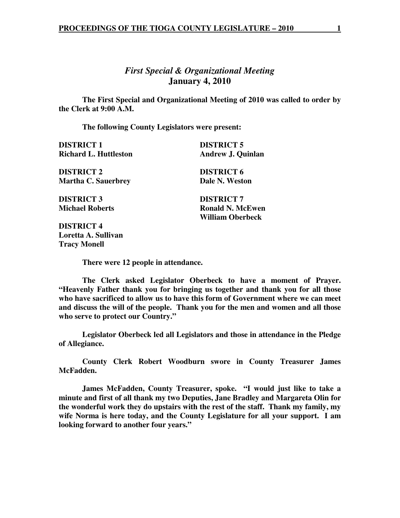# *First Special & Organizational Meeting*  **January 4, 2010**

 **The First Special and Organizational Meeting of 2010 was called to order by the Clerk at 9:00 A.M.** 

 **The following County Legislators were present:** 

| <b>DISTRICT 1</b>                                 | <b>DISTRICT 5</b>        |
|---------------------------------------------------|--------------------------|
| <b>Richard L. Huttleston</b>                      | <b>Andrew J. Quinlan</b> |
| <b>DISTRICT 2</b>                                 | <b>DISTRICT 6</b>        |
| <b>Martha C. Sauerbrey</b>                        | Dale N. Weston           |
| <b>DISTRICT 3</b>                                 | <b>DISTRICT 7</b>        |
| <b>Michael Roberts</b>                            | <b>Ronald N. McEwen</b>  |
|                                                   | William Oberbeck         |
| <b>DISTRICT 4</b>                                 |                          |
| $\mathbf{I}$ and $\mathbf{A}$ $\mathbf{C}$ allows |                          |

**Loretta A. Sullivan Tracy Monell** 

 **There were 12 people in attendance.** 

 **The Clerk asked Legislator Oberbeck to have a moment of Prayer. "Heavenly Father thank you for bringing us together and thank you for all those who have sacrificed to allow us to have this form of Government where we can meet and discuss the will of the people. Thank you for the men and women and all those who serve to protect our Country."** 

 **Legislator Oberbeck led all Legislators and those in attendance in the Pledge of Allegiance.** 

 **County Clerk Robert Woodburn swore in County Treasurer James McFadden.** 

 **James McFadden, County Treasurer, spoke. "I would just like to take a minute and first of all thank my two Deputies, Jane Bradley and Margareta Olin for the wonderful work they do upstairs with the rest of the staff. Thank my family, my wife Norma is here today, and the County Legislature for all your support. I am looking forward to another four years."**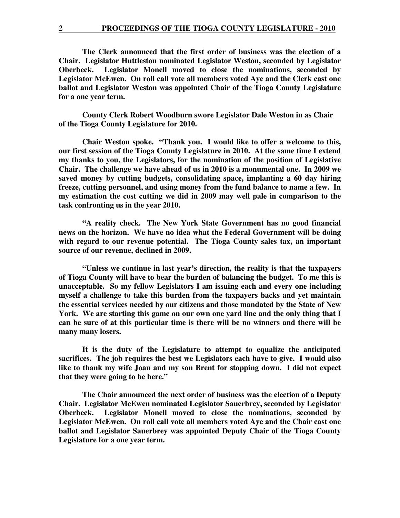**The Clerk announced that the first order of business was the election of a Chair. Legislator Huttleston nominated Legislator Weston, seconded by Legislator Oberbeck. Legislator Monell moved to close the nominations, seconded by Legislator McEwen. On roll call vote all members voted Aye and the Clerk cast one ballot and Legislator Weston was appointed Chair of the Tioga County Legislature for a one year term.** 

**County Clerk Robert Woodburn swore Legislator Dale Weston in as Chair of the Tioga County Legislature for 2010.** 

**Chair Weston spoke. "Thank you. I would like to offer a welcome to this, our first session of the Tioga County Legislature in 2010. At the same time I extend my thanks to you, the Legislators, for the nomination of the position of Legislative Chair. The challenge we have ahead of us in 2010 is a monumental one. In 2009 we saved money by cutting budgets, consolidating space, implanting a 60 day hiring freeze, cutting personnel, and using money from the fund balance to name a few. In my estimation the cost cutting we did in 2009 may well pale in comparison to the task confronting us in the year 2010.** 

 **"A reality check. The New York State Government has no good financial news on the horizon. We have no idea what the Federal Government will be doing with regard to our revenue potential. The Tioga County sales tax, an important source of our revenue, declined in 2009.** 

 **"Unless we continue in last year's direction, the reality is that the taxpayers of Tioga County will have to bear the burden of balancing the budget. To me this is unacceptable. So my fellow Legislators I am issuing each and every one including myself a challenge to take this burden from the taxpayers backs and yet maintain the essential services needed by our citizens and those mandated by the State of New York. We are starting this game on our own one yard line and the only thing that I can be sure of at this particular time is there will be no winners and there will be many many losers.** 

 **It is the duty of the Legislature to attempt to equalize the anticipated sacrifices. The job requires the best we Legislators each have to give. I would also like to thank my wife Joan and my son Brent for stopping down. I did not expect that they were going to be here."** 

**The Chair announced the next order of business was the election of a Deputy Chair. Legislator McEwen nominated Legislator Sauerbrey, seconded by Legislator Oberbeck. Legislator Monell moved to close the nominations, seconded by Legislator McEwen. On roll call vote all members voted Aye and the Chair cast one ballot and Legislator Sauerbrey was appointed Deputy Chair of the Tioga County Legislature for a one year term.**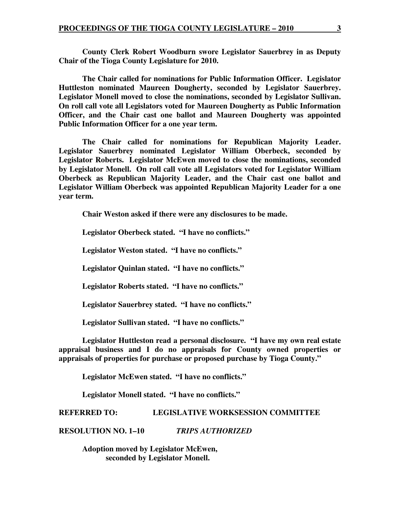**County Clerk Robert Woodburn swore Legislator Sauerbrey in as Deputy Chair of the Tioga County Legislature for 2010.** 

 **The Chair called for nominations for Public Information Officer. Legislator Huttleston nominated Maureen Dougherty, seconded by Legislator Sauerbrey. Legislator Monell moved to close the nominations, seconded by Legislator Sullivan. On roll call vote all Legislators voted for Maureen Dougherty as Public Information Officer, and the Chair cast one ballot and Maureen Dougherty was appointed Public Information Officer for a one year term.** 

 **The Chair called for nominations for Republican Majority Leader. Legislator Sauerbrey nominated Legislator William Oberbeck, seconded by Legislator Roberts. Legislator McEwen moved to close the nominations, seconded by Legislator Monell. On roll call vote all Legislators voted for Legislator William Oberbeck as Republican Majority Leader, and the Chair cast one ballot and Legislator William Oberbeck was appointed Republican Majority Leader for a one year term.** 

 **Chair Weston asked if there were any disclosures to be made.** 

 **Legislator Oberbeck stated. "I have no conflicts."** 

 **Legislator Weston stated. "I have no conflicts."** 

 **Legislator Quinlan stated. "I have no conflicts."**

 **Legislator Roberts stated. "I have no conflicts."**

 **Legislator Sauerbrey stated. "I have no conflicts."** 

 **Legislator Sullivan stated. "I have no conflicts."** 

 **Legislator Huttleston read a personal disclosure. "I have my own real estate appraisal business and I do no appraisals for County owned properties or appraisals of properties for purchase or proposed purchase by Tioga County."** 

 **Legislator McEwen stated. "I have no conflicts."** 

 **Legislator Monell stated. "I have no conflicts."** 

**REFERRED TO: LEGISLATIVE WORKSESSION COMMITTEE** 

**RESOLUTION NO. 1–10** *TRIPS AUTHORIZED*

 **Adoption moved by Legislator McEwen, seconded by Legislator Monell.**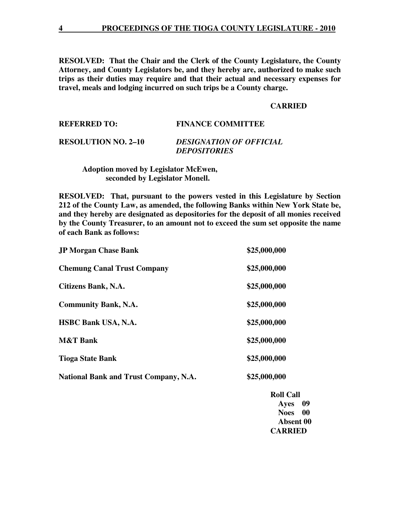**RESOLVED: That the Chair and the Clerk of the County Legislature, the County Attorney, and County Legislators be, and they hereby are, authorized to make such trips as their duties may require and that their actual and necessary expenses for travel, meals and lodging incurred on such trips be a County charge.** 

# **CARRIED**

| <b>REFERRED TO:</b>        | <b>FINANCE COMMITTEE</b>       |
|----------------------------|--------------------------------|
| <b>RESOLUTION NO. 2-10</b> | <b>DESIGNATION OF OFFICIAL</b> |

 **Adoption moved by Legislator McEwen, seconded by Legislator Monell.** 

**RESOLVED: That, pursuant to the powers vested in this Legislature by Section 212 of the County Law, as amended, the following Banks within New York State be, and they hereby are designated as depositories for the deposit of all monies received by the County Treasurer, to an amount not to exceed the sum set opposite the name of each Bank as follows:** 

 *DEPOSITORIES* 

| <b>JP Morgan Chase Bank</b>                  | \$25,000,000 |
|----------------------------------------------|--------------|
| <b>Chemung Canal Trust Company</b>           | \$25,000,000 |
| Citizens Bank, N.A.                          | \$25,000,000 |
| <b>Community Bank, N.A.</b>                  | \$25,000,000 |
| <b>HSBC Bank USA, N.A.</b>                   | \$25,000,000 |
| <b>M&amp;T Bank</b>                          | \$25,000,000 |
| <b>Tioga State Bank</b>                      | \$25,000,000 |
| <b>National Bank and Trust Company, N.A.</b> | \$25,000,000 |
|                                              |              |

 **Roll Call Ayes 09 Noes 00 Absent 00 CARRIED**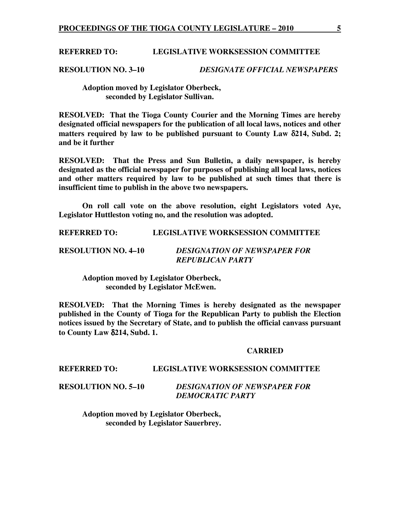#### **REFERRED TO: LEGISLATIVE WORKSESSION COMMITTEE**

**RESOLUTION NO. 3–10** *DESIGNATE OFFICIAL NEWSPAPERS* 

 **Adoption moved by Legislator Oberbeck, seconded by Legislator Sullivan.** 

**RESOLVED: That the Tioga County Courier and the Morning Times are hereby designated official newspapers for the publication of all local laws, notices and other matters required by law to be published pursuant to County Law** δ**214, Subd. 2; and be it further** 

**RESOLVED: That the Press and Sun Bulletin, a daily newspaper, is hereby designated as the official newspaper for purposes of publishing all local laws, notices and other matters required by law to be published at such times that there is insufficient time to publish in the above two newspapers.** 

**On roll call vote on the above resolution, eight Legislators voted Aye, Legislator Huttleston voting no, and the resolution was adopted.** 

**REFERRED TO: LEGISLATIVE WORKSESSION COMMITTEE** 

| <b>RESOLUTION NO. 4–10</b> | <b>DESIGNATION OF NEWSPAPER FOR</b> |
|----------------------------|-------------------------------------|
|                            | <b>REPUBLICAN PARTY</b>             |

 **Adoption moved by Legislator Oberbeck, seconded by Legislator McEwen.** 

**RESOLVED: That the Morning Times is hereby designated as the newspaper published in the County of Tioga for the Republican Party to publish the Election notices issued by the Secretary of State, and to publish the official canvass pursuant to County Law** δ**214, Subd. 1.** 

# **CARRIED**

#### **REFERRED TO: LEGISLATIVE WORKSESSION COMMITTEE**

**RESOLUTION NO. 5–10** *DESIGNATION OF NEWSPAPER FOR DEMOCRATIC PARTY*

 **Adoption moved by Legislator Oberbeck, seconded by Legislator Sauerbrey.**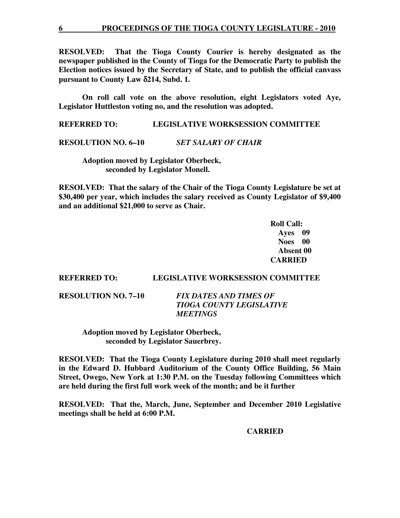**RESOLVED: That the Tioga County Courier is hereby designated as the newspaper published in the County of Tioga for the Democratic Party to publish the Election notices issued by the Secretary of State, and to publish the official canvass pursuant to County Law** δ**214, Subd. 1.** 

**On roll call vote on the above resolution, eight Legislators voted Aye, Legislator Huttleston voting no, and the resolution was adopted.** 

**REFERRED TO: LEGISLATIVE WORKSESSION COMMITTEE** 

**RESOLUTION NO. 6–10** *SET SALARY OF CHAIR*

 **Adoption moved by Legislator Oberbeck, seconded by Legislator Monell.** 

**RESOLVED: That the salary of the Chair of the Tioga County Legislature be set at \$30,400 per year, which includes the salary received as County Legislator of \$9,400 and an additional \$21,000 to serve as Chair.** 

> **Roll Call: Ayes 09 Noes 00 Absent 00 CARRIED**

### **REFERRED TO: LEGISLATIVE WORKSESSION COMMITTEE**

**RESOLUTION NO. 7–10** *FIX DATES AND TIMES OF TIOGA COUNTY LEGISLATIVE MEETINGS* 

> **Adoption moved by Legislator Oberbeck, seconded by Legislator Sauerbrey.**

**RESOLVED: That the Tioga County Legislature during 2010 shall meet regularly in the Edward D. Hubbard Auditorium of the County Office Building, 56 Main Street, Owego, New York at 1:30 P.M. on the Tuesday following Committees which are held during the first full work week of the month; and be it further** 

**RESOLVED: That the, March, June, September and December 2010 Legislative meetings shall be held at 6:00 P.M.** 

**CARRIED**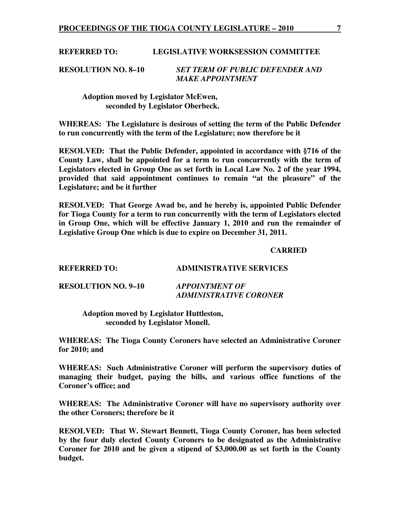#### **REFERRED TO: LEGISLATIVE WORKSESSION COMMITTEE**

**RESOLUTION NO. 8–10** *SET TERM OF PUBLIC DEFENDER AND MAKE APPOINTMENT* 

 **Adoption moved by Legislator McEwen, seconded by Legislator Oberbeck.** 

**WHEREAS: The Legislature is desirous of setting the term of the Public Defender to run concurrently with the term of the Legislature; now therefore be it** 

**RESOLVED: That the Public Defender, appointed in accordance with §716 of the County Law, shall be appointed for a term to run concurrently with the term of Legislators elected in Group One as set forth in Local Law No. 2 of the year 1994, provided that said appointment continues to remain "at the pleasure" of the Legislature; and be it further** 

**RESOLVED: That George Awad be, and he hereby is, appointed Public Defender for Tioga County for a term to run concurrently with the term of Legislators elected in Group One, which will be effective January 1, 2010 and run the remainder of Legislative Group One which is due to expire on December 31, 2011.** 

#### **CARRIED**

| <b>REFERRED TO:</b>        | <b>ADMINISTRATIVE SERVICES</b>                  |
|----------------------------|-------------------------------------------------|
| <b>RESOLUTION NO. 9–10</b> | <b>APPOINTMENT OF</b><br>ADMINISTRATIVE CORONER |

 **Adoption moved by Legislator Huttleston, seconded by Legislator Monell.** 

**WHEREAS: The Tioga County Coroners have selected an Administrative Coroner for 2010; and** 

**WHEREAS: Such Administrative Coroner will perform the supervisory duties of managing their budget, paying the bills, and various office functions of the Coroner's office; and** 

**WHEREAS: The Administrative Coroner will have no supervisory authority over the other Coroners; therefore be it** 

**RESOLVED: That W. Stewart Bennett, Tioga County Coroner, has been selected by the four duly elected County Coroners to be designated as the Administrative Coroner for 2010 and be given a stipend of \$3,000.00 as set forth in the County budget.**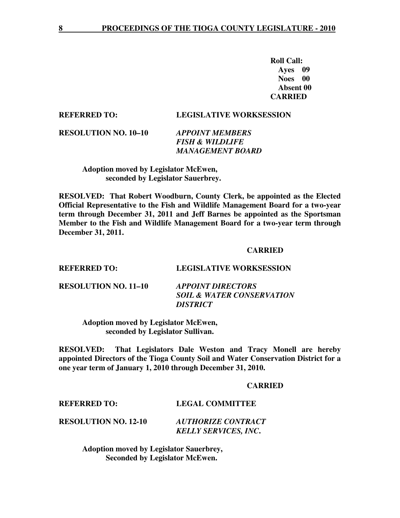**Roll Call: Ayes 09 Noes 00 Absent 00 CARRIED** 

#### **REFERRED TO: LEGISLATIVE WORKSESSION**

*SOIL & WATER CONSERVATION* 

**RESOLUTION NO. 10–10** *APPOINT MEMBERS* 

 *FISH & WILDLIFE MANAGEMENT BOARD* 

 **Adoption moved by Legislator McEwen, seconded by Legislator Sauerbrey.** 

**RESOLVED: That Robert Woodburn, County Clerk, be appointed as the Elected Official Representative to the Fish and Wildlife Management Board for a two-year term through December 31, 2011 and Jeff Barnes be appointed as the Sportsman Member to the Fish and Wildlife Management Board for a two-year term through December 31, 2011.** 

#### **CARRIED**

**REFERRED TO: LEGISLATIVE WORKSESSION RESOLUTION NO. 11–10** *APPOINT DIRECTORS* 

> **Adoption moved by Legislator McEwen, seconded by Legislator Sullivan.**

**RESOLVED: That Legislators Dale Weston and Tracy Monell are hereby appointed Directors of the Tioga County Soil and Water Conservation District for a one year term of January 1, 2010 through December 31, 2010.** 

 *DISTRICT* 

#### **CARRIED**

# **REFERRED TO: LEGAL COMMITTEE**

**RESOLUTION NO. 12-10** *AUTHORIZE CONTRACT KELLY SERVICES, INC***.** 

> **Adoption moved by Legislator Sauerbrey, Seconded by Legislator McEwen.**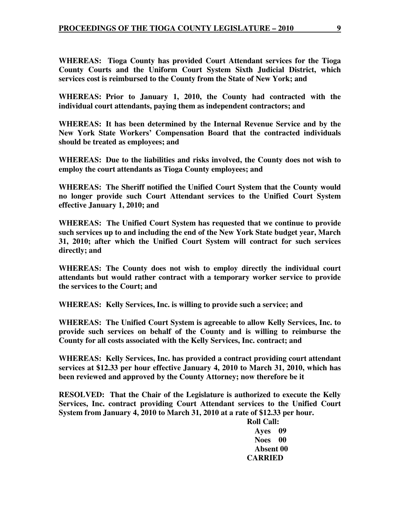**WHEREAS: Tioga County has provided Court Attendant services for the Tioga County Courts and the Uniform Court System Sixth Judicial District, which services cost is reimbursed to the County from the State of New York; and** 

**WHEREAS: Prior to January 1, 2010, the County had contracted with the individual court attendants, paying them as independent contractors; and** 

**WHEREAS: It has been determined by the Internal Revenue Service and by the New York State Workers' Compensation Board that the contracted individuals should be treated as employees; and** 

**WHEREAS: Due to the liabilities and risks involved, the County does not wish to employ the court attendants as Tioga County employees; and** 

**WHEREAS: The Sheriff notified the Unified Court System that the County would no longer provide such Court Attendant services to the Unified Court System effective January 1, 2010; and** 

**WHEREAS: The Unified Court System has requested that we continue to provide such services up to and including the end of the New York State budget year, March 31, 2010; after which the Unified Court System will contract for such services directly; and** 

**WHEREAS: The County does not wish to employ directly the individual court attendants but would rather contract with a temporary worker service to provide the services to the Court; and** 

**WHEREAS: Kelly Services, Inc. is willing to provide such a service; and** 

**WHEREAS: The Unified Court System is agreeable to allow Kelly Services, Inc. to provide such services on behalf of the County and is willing to reimburse the County for all costs associated with the Kelly Services, Inc. contract; and** 

**WHEREAS: Kelly Services, Inc. has provided a contract providing court attendant services at \$12.33 per hour effective January 4, 2010 to March 31, 2010, which has been reviewed and approved by the County Attorney; now therefore be it** 

**RESOLVED: That the Chair of the Legislature is authorized to execute the Kelly Services, Inc. contract providing Court Attendant services to the Unified Court System from January 4, 2010 to March 31, 2010 at a rate of \$12.33 per hour.** 

> **Roll Call: Ayes 09 Noes 00 Absent 00 CARRIED**